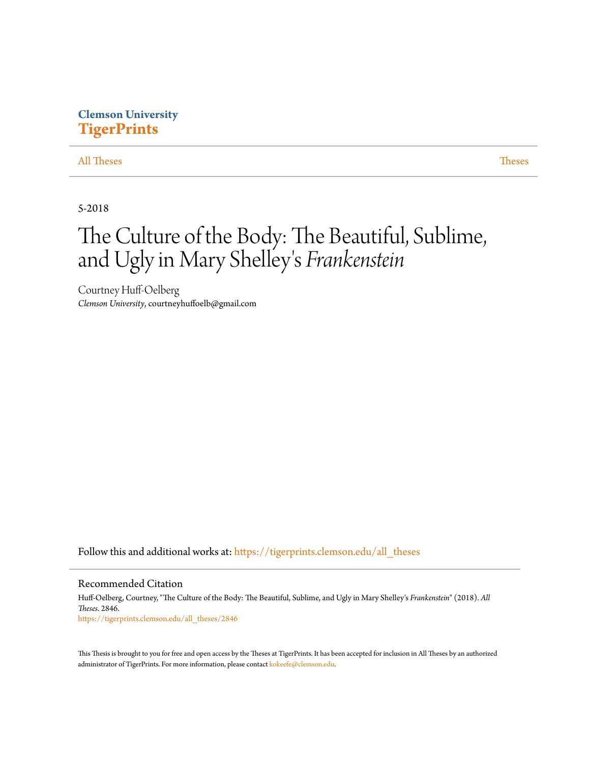## **Clemson University [TigerPrints](https://tigerprints.clemson.edu?utm_source=tigerprints.clemson.edu%2Fall_theses%2F2846&utm_medium=PDF&utm_campaign=PDFCoverPages)**

### [All Theses](https://tigerprints.clemson.edu/all_theses?utm_source=tigerprints.clemson.edu%2Fall_theses%2F2846&utm_medium=PDF&utm_campaign=PDFCoverPages) **[Theses](https://tigerprints.clemson.edu/theses?utm_source=tigerprints.clemson.edu%2Fall_theses%2F2846&utm_medium=PDF&utm_campaign=PDFCoverPages)**

5-2018

# The Culture of the Body: The Beautiful, Sublime, and Ugly in Mary Shelley 's *Frankenstein*

Courtney Huff-Oelberg *Clemson University*, courtneyhuffoelb@gmail.com

Follow this and additional works at: [https://tigerprints.clemson.edu/all\\_theses](https://tigerprints.clemson.edu/all_theses?utm_source=tigerprints.clemson.edu%2Fall_theses%2F2846&utm_medium=PDF&utm_campaign=PDFCoverPages)

### Recommended Citation

Huff-Oelberg, Courtney, "The Culture of the Body: The Beautiful, Sublime, and Ugly in Mary Shelley's *Frankenstein*" (2018). *All Theses*. 2846. [https://tigerprints.clemson.edu/all\\_theses/2846](https://tigerprints.clemson.edu/all_theses/2846?utm_source=tigerprints.clemson.edu%2Fall_theses%2F2846&utm_medium=PDF&utm_campaign=PDFCoverPages)

This Thesis is brought to you for free and open access by the Theses at TigerPrints. It has been accepted for inclusion in All Theses by an authorized administrator of TigerPrints. For more information, please contact [kokeefe@clemson.edu](mailto:kokeefe@clemson.edu).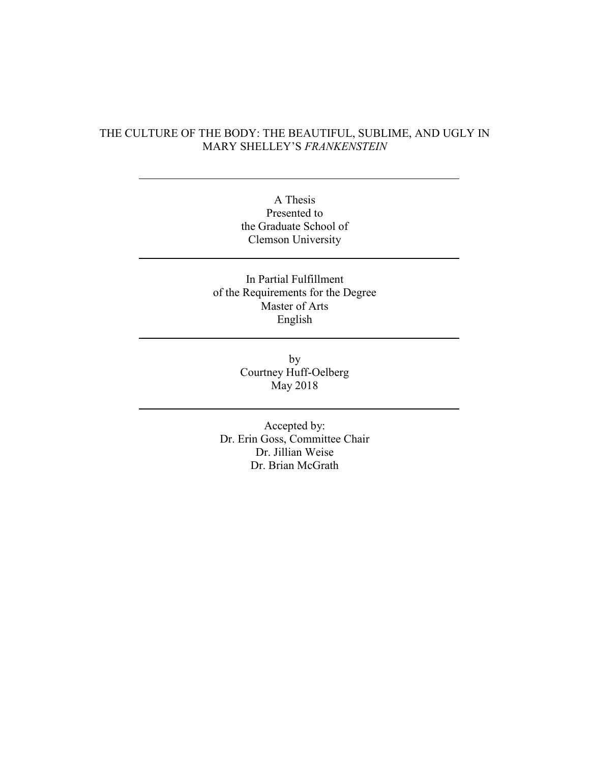## THE CULTURE OF THE BODY: THE BEAUTIFUL, SUBLIME, AND UGLY IN MARY SHELLEY'S *FRANKENSTEIN*

A Thesis Presented to the Graduate School of Clemson University

In Partial Fulfillment of the Requirements for the Degree Master of Arts English

> by Courtney Huff-Oelberg May 2018

Accepted by: Dr. Erin Goss, Committee Chair Dr. Jillian Weise Dr. Brian McGrath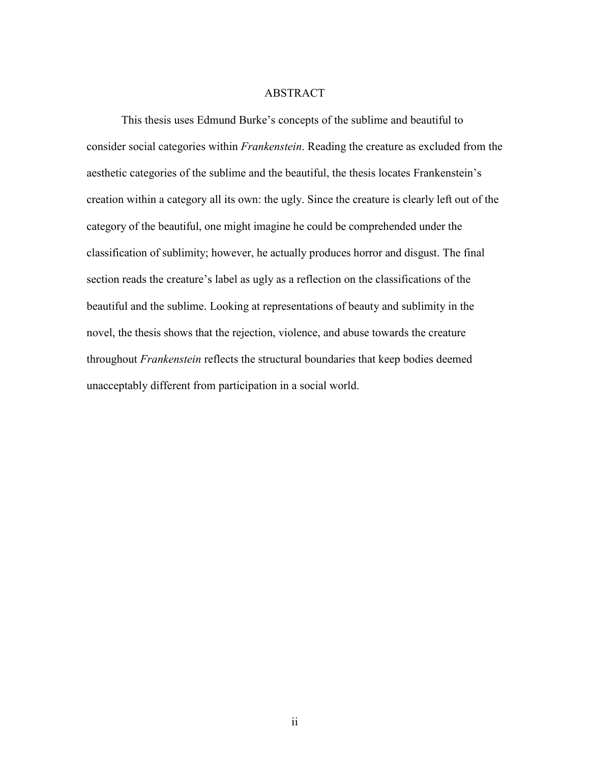### ABSTRACT

This thesis uses Edmund Burke's concepts of the sublime and beautiful to consider social categories within *Frankenstein*. Reading the creature as excluded from the aesthetic categories of the sublime and the beautiful, the thesis locates Frankenstein's creation within a category all its own: the ugly. Since the creature is clearly left out of the category of the beautiful, one might imagine he could be comprehended under the classification of sublimity; however, he actually produces horror and disgust. The final section reads the creature's label as ugly as a reflection on the classifications of the beautiful and the sublime. Looking at representations of beauty and sublimity in the novel, the thesis shows that the rejection, violence, and abuse towards the creature throughout *Frankenstein* reflects the structural boundaries that keep bodies deemed unacceptably different from participation in a social world.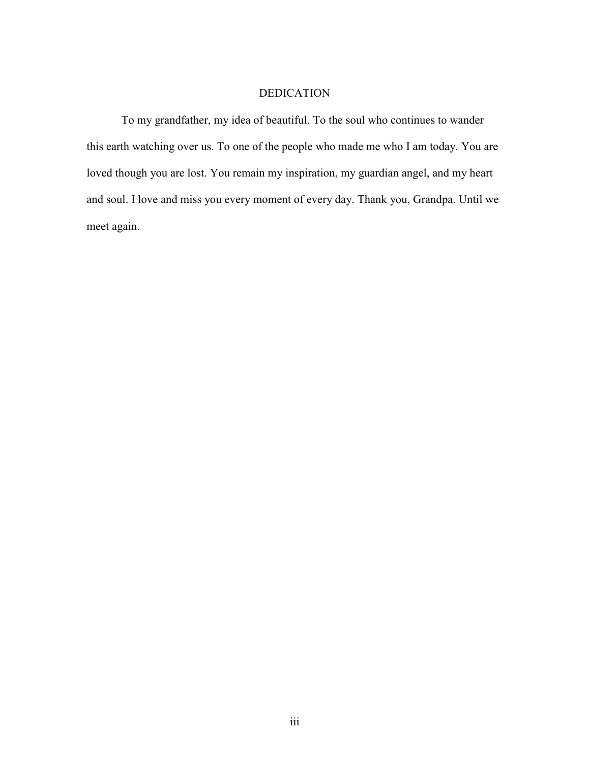## DEDICATION

To my grandfather, my idea of beautiful. To the soul who continues to wander this earth watching over us. To one of the people who made me who I am today. You are loved though you are lost. You remain my inspiration, my guardian angel, and my heart and soul. I love and miss you every moment of every day. Thank you, Grandpa. Until we meet again.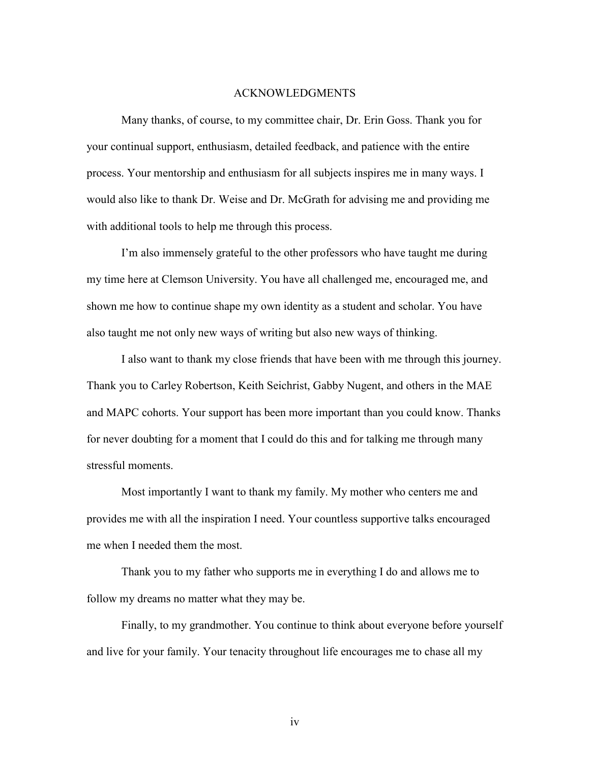### ACKNOWLEDGMENTS

Many thanks, of course, to my committee chair, Dr. Erin Goss. Thank you for your continual support, enthusiasm, detailed feedback, and patience with the entire process. Your mentorship and enthusiasm for all subjects inspires me in many ways. I would also like to thank Dr. Weise and Dr. McGrath for advising me and providing me with additional tools to help me through this process.

I'm also immensely grateful to the other professors who have taught me during my time here at Clemson University. You have all challenged me, encouraged me, and shown me how to continue shape my own identity as a student and scholar. You have also taught me not only new ways of writing but also new ways of thinking.

I also want to thank my close friends that have been with me through this journey. Thank you to Carley Robertson, Keith Seichrist, Gabby Nugent, and others in the MAE and MAPC cohorts. Your support has been more important than you could know. Thanks for never doubting for a moment that I could do this and for talking me through many stressful moments.

Most importantly I want to thank my family. My mother who centers me and provides me with all the inspiration I need. Your countless supportive talks encouraged me when I needed them the most.

Thank you to my father who supports me in everything I do and allows me to follow my dreams no matter what they may be.

Finally, to my grandmother. You continue to think about everyone before yourself and live for your family. Your tenacity throughout life encourages me to chase all my

iv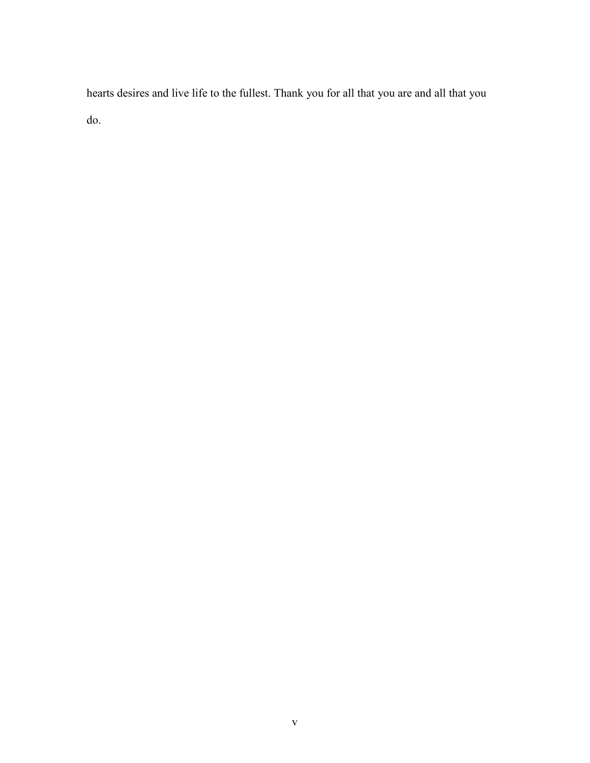hearts desires and live life to the fullest. Thank you for all that you are and all that you do.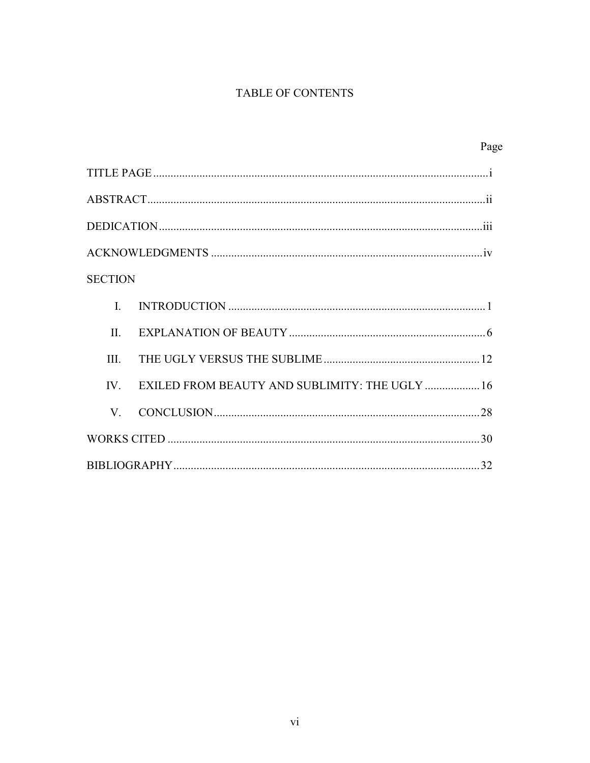## TABLE OF CONTENTS

|                |                                                | Page |
|----------------|------------------------------------------------|------|
|                |                                                |      |
|                |                                                |      |
|                |                                                |      |
|                |                                                |      |
| <b>SECTION</b> |                                                |      |
| $\mathbf{I}$   |                                                |      |
| II.            |                                                |      |
| III.           |                                                |      |
| IV             | EXILED FROM BEAUTY AND SUBLIMITY: THE UGLY  16 |      |
| V.             |                                                |      |
|                |                                                |      |
|                |                                                |      |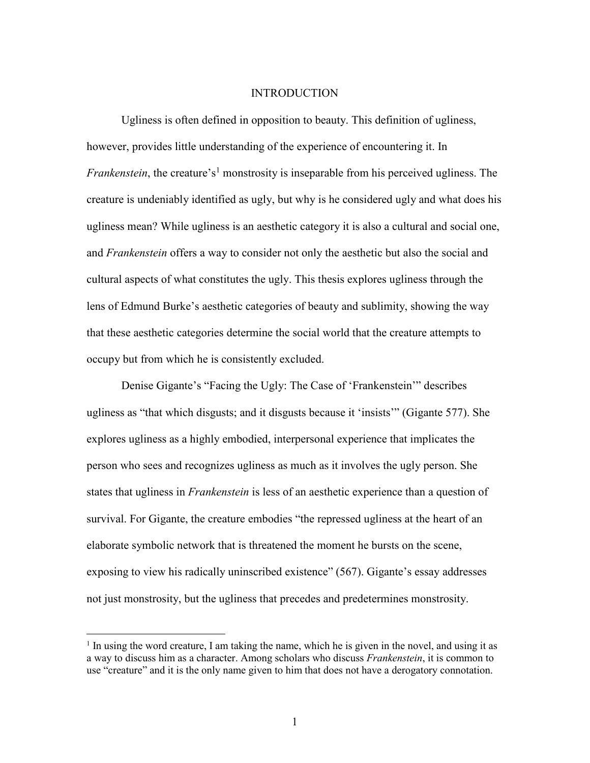### **INTRODUCTION**

Ugliness is often defined in opposition to beauty. This definition of ugliness, however, provides little understanding of the experience of encountering it. In *Frankenstein*, the creature's<sup>1</sup> monstrosity is inseparable from his perceived ugliness. The creature is undeniably identified as ugly, but why is he considered ugly and what does his ugliness mean? While ugliness is an aesthetic category it is also a cultural and social one, and *Frankenstein* offers a way to consider not only the aesthetic but also the social and cultural aspects of what constitutes the ugly. This thesis explores ugliness through the lens of Edmund Burke's aesthetic categories of beauty and sublimity, showing the way that these aesthetic categories determine the social world that the creature attempts to occupy but from which he is consistently excluded.

Denise Gigante's "Facing the Ugly: The Case of 'Frankenstein'" describes ugliness as "that which disgusts; and it disgusts because it 'insists'" (Gigante 577). She explores ugliness as a highly embodied, interpersonal experience that implicates the person who sees and recognizes ugliness as much as it involves the ugly person. She states that ugliness in *Frankenstein* is less of an aesthetic experience than a question of survival. For Gigante, the creature embodies "the repressed ugliness at the heart of an elaborate symbolic network that is threatened the moment he bursts on the scene, exposing to view his radically uninscribed existence" (567). Gigante's essay addresses not just monstrosity, but the ugliness that precedes and predetermines monstrosity.

 $\overline{a}$ 

<sup>&</sup>lt;sup>1</sup> In using the word creature, I am taking the name, which he is given in the novel, and using it as a way to discuss him as a character. Among scholars who discuss *Frankenstein*, it is common to use "creature" and it is the only name given to him that does not have a derogatory connotation.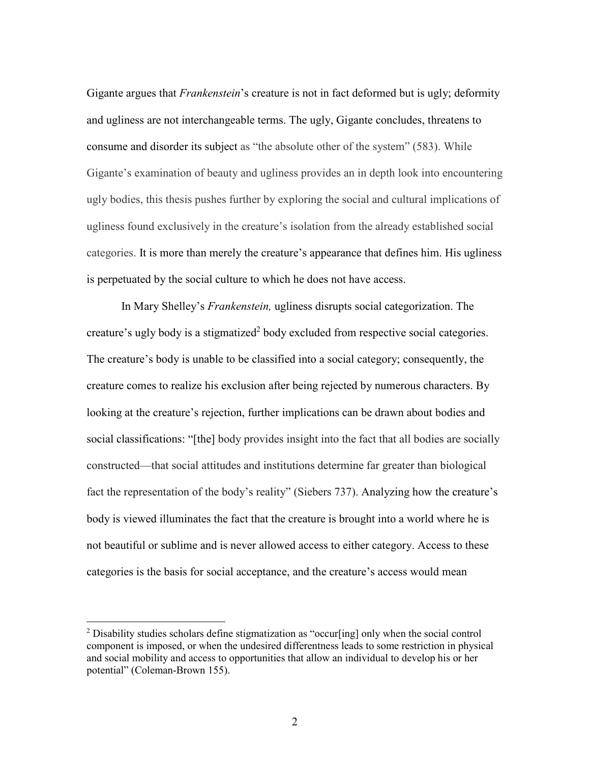Gigante argues that *Frankenstein*'s creature is not in fact deformed but is ugly; deformity and ugliness are not interchangeable terms. The ugly, Gigante concludes, threatens to consume and disorder its subject as "the absolute other of the system" (583). While Gigante's examination of beauty and ugliness provides an in depth look into encountering ugly bodies, this thesis pushes further by exploring the social and cultural implications of ugliness found exclusively in the creature's isolation from the already established social categories. It is more than merely the creature's appearance that defines him. His ugliness is perpetuated by the social culture to which he does not have access.

In Mary Shelley's *Frankenstein,* ugliness disrupts social categorization. The creature's ugly body is a stigmatized<sup>2</sup> body excluded from respective social categories. The creature's body is unable to be classified into a social category; consequently, the creature comes to realize his exclusion after being rejected by numerous characters. By looking at the creature's rejection, further implications can be drawn about bodies and social classifications: "[the] body provides insight into the fact that all bodies are socially constructed—that social attitudes and institutions determine far greater than biological fact the representation of the body's reality" (Siebers 737). Analyzing how the creature's body is viewed illuminates the fact that the creature is brought into a world where he is not beautiful or sublime and is never allowed access to either category. Access to these categories is the basis for social acceptance, and the creature's access would mean

 $\overline{a}$ 

<sup>&</sup>lt;sup>2</sup> Disability studies scholars define stigmatization as "occur[ing] only when the social control component is imposed, or when the undesired differentness leads to some restriction in physical and social mobility and access to opportunities that allow an individual to develop his or her potential" (Coleman-Brown 155).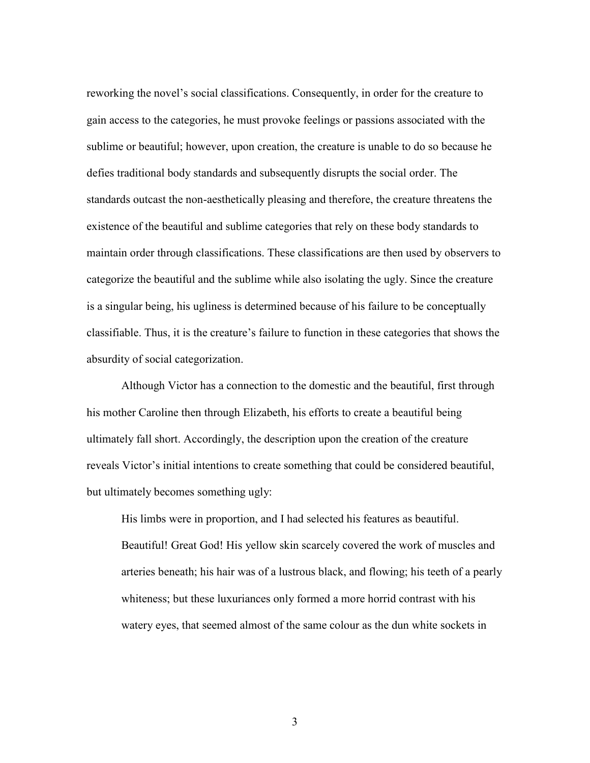reworking the novel's social classifications. Consequently, in order for the creature to gain access to the categories, he must provoke feelings or passions associated with the sublime or beautiful; however, upon creation, the creature is unable to do so because he defies traditional body standards and subsequently disrupts the social order. The standards outcast the non-aesthetically pleasing and therefore, the creature threatens the existence of the beautiful and sublime categories that rely on these body standards to maintain order through classifications. These classifications are then used by observers to categorize the beautiful and the sublime while also isolating the ugly. Since the creature is a singular being, his ugliness is determined because of his failure to be conceptually classifiable. Thus, it is the creature's failure to function in these categories that shows the absurdity of social categorization.

Although Victor has a connection to the domestic and the beautiful, first through his mother Caroline then through Elizabeth, his efforts to create a beautiful being ultimately fall short. Accordingly, the description upon the creation of the creature reveals Victor's initial intentions to create something that could be considered beautiful, but ultimately becomes something ugly:

His limbs were in proportion, and I had selected his features as beautiful. Beautiful! Great God! His yellow skin scarcely covered the work of muscles and arteries beneath; his hair was of a lustrous black, and flowing; his teeth of a pearly whiteness; but these luxuriances only formed a more horrid contrast with his watery eyes, that seemed almost of the same colour as the dun white sockets in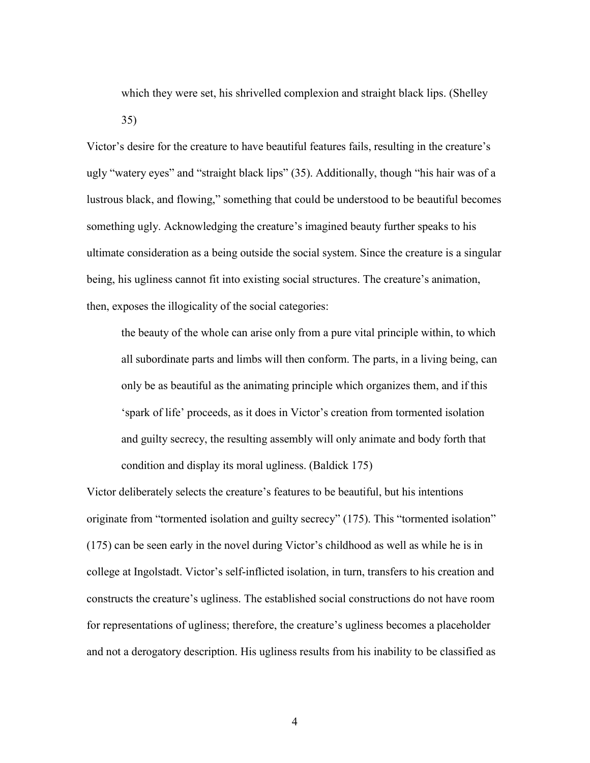which they were set, his shrivelled complexion and straight black lips. (Shelley 35)

Victor's desire for the creature to have beautiful features fails, resulting in the creature's ugly "watery eyes" and "straight black lips" (35). Additionally, though "his hair was of a lustrous black, and flowing," something that could be understood to be beautiful becomes something ugly. Acknowledging the creature's imagined beauty further speaks to his ultimate consideration as a being outside the social system. Since the creature is a singular being, his ugliness cannot fit into existing social structures. The creature's animation, then, exposes the illogicality of the social categories:

the beauty of the whole can arise only from a pure vital principle within, to which all subordinate parts and limbs will then conform. The parts, in a living being, can only be as beautiful as the animating principle which organizes them, and if this 'spark of life' proceeds, as it does in Victor's creation from tormented isolation and guilty secrecy, the resulting assembly will only animate and body forth that condition and display its moral ugliness. (Baldick 175)

Victor deliberately selects the creature's features to be beautiful, but his intentions originate from "tormented isolation and guilty secrecy" (175). This "tormented isolation" (175) can be seen early in the novel during Victor's childhood as well as while he is in college at Ingolstadt. Victor's self-inflicted isolation, in turn, transfers to his creation and constructs the creature's ugliness. The established social constructions do not have room for representations of ugliness; therefore, the creature's ugliness becomes a placeholder and not a derogatory description. His ugliness results from his inability to be classified as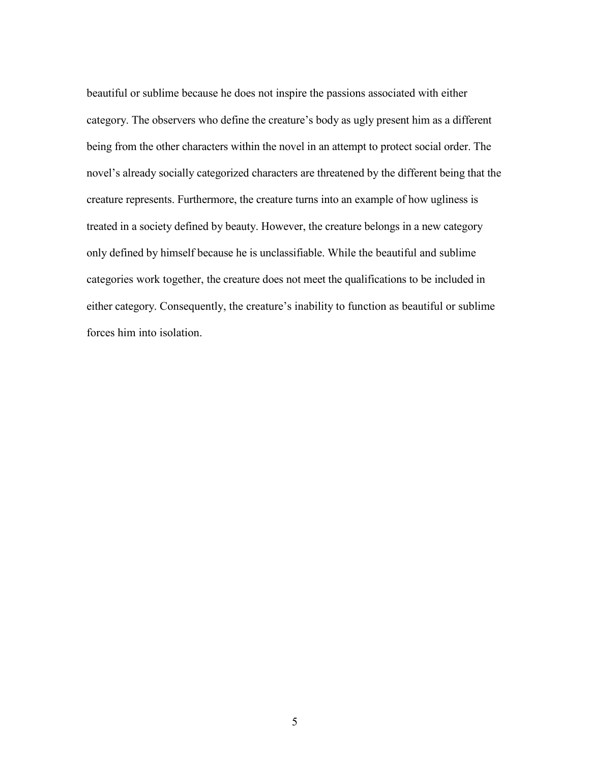beautiful or sublime because he does not inspire the passions associated with either category. The observers who define the creature's body as ugly present him as a different being from the other characters within the novel in an attempt to protect social order. The novel's already socially categorized characters are threatened by the different being that the creature represents. Furthermore, the creature turns into an example of how ugliness is treated in a society defined by beauty. However, the creature belongs in a new category only defined by himself because he is unclassifiable. While the beautiful and sublime categories work together, the creature does not meet the qualifications to be included in either category. Consequently, the creature's inability to function as beautiful or sublime forces him into isolation.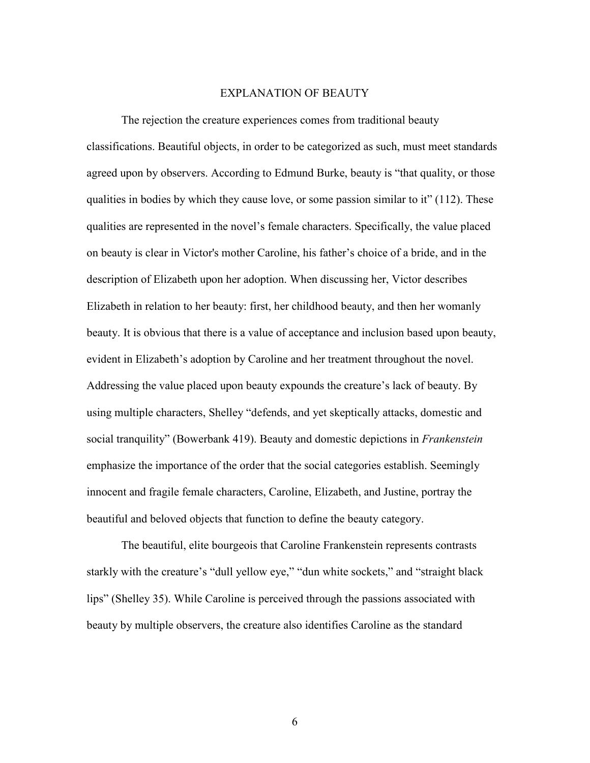### EXPLANATION OF BEAUTY

The rejection the creature experiences comes from traditional beauty classifications. Beautiful objects, in order to be categorized as such, must meet standards agreed upon by observers. According to Edmund Burke, beauty is "that quality, or those qualities in bodies by which they cause love, or some passion similar to it"  $(112)$ . These qualities are represented in the novel's female characters. Specifically, the value placed on beauty is clear in Victor's mother Caroline, his father's choice of a bride, and in the description of Elizabeth upon her adoption. When discussing her, Victor describes Elizabeth in relation to her beauty: first, her childhood beauty, and then her womanly beauty. It is obvious that there is a value of acceptance and inclusion based upon beauty, evident in Elizabeth's adoption by Caroline and her treatment throughout the novel. Addressing the value placed upon beauty expounds the creature's lack of beauty. By using multiple characters, Shelley "defends, and yet skeptically attacks, domestic and social tranquility" (Bowerbank 419). Beauty and domestic depictions in *Frankenstein* emphasize the importance of the order that the social categories establish. Seemingly innocent and fragile female characters, Caroline, Elizabeth, and Justine, portray the beautiful and beloved objects that function to define the beauty category.

The beautiful, elite bourgeois that Caroline Frankenstein represents contrasts starkly with the creature's "dull yellow eye," "dun white sockets," and "straight black lips" (Shelley 35). While Caroline is perceived through the passions associated with beauty by multiple observers, the creature also identifies Caroline as the standard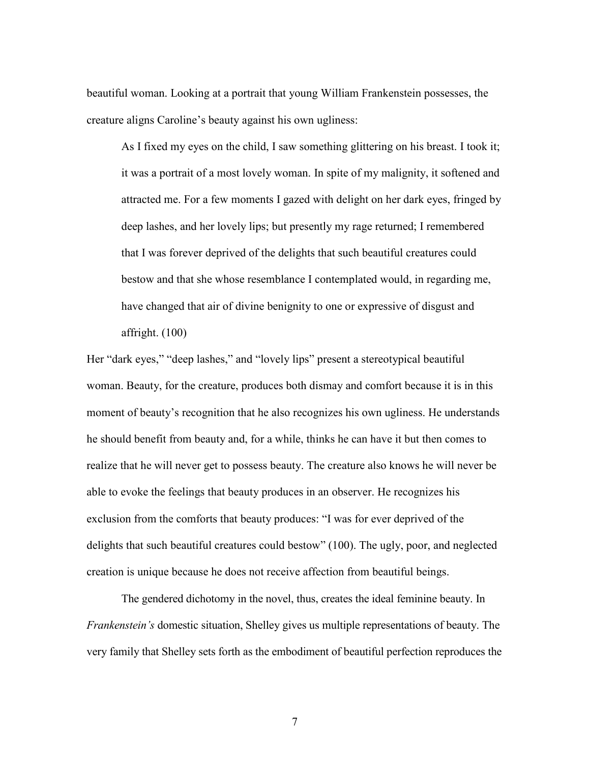beautiful woman. Looking at a portrait that young William Frankenstein possesses, the creature aligns Caroline's beauty against his own ugliness:

As I fixed my eyes on the child, I saw something glittering on his breast. I took it; it was a portrait of a most lovely woman. In spite of my malignity, it softened and attracted me. For a few moments I gazed with delight on her dark eyes, fringed by deep lashes, and her lovely lips; but presently my rage returned; I remembered that I was forever deprived of the delights that such beautiful creatures could bestow and that she whose resemblance I contemplated would, in regarding me, have changed that air of divine benignity to one or expressive of disgust and affright. (100)

Her "dark eyes," "deep lashes," and "lovely lips" present a stereotypical beautiful woman. Beauty, for the creature, produces both dismay and comfort because it is in this moment of beauty's recognition that he also recognizes his own ugliness. He understands he should benefit from beauty and, for a while, thinks he can have it but then comes to realize that he will never get to possess beauty. The creature also knows he will never be able to evoke the feelings that beauty produces in an observer. He recognizes his exclusion from the comforts that beauty produces: "I was for ever deprived of the delights that such beautiful creatures could bestow" (100). The ugly, poor, and neglected creation is unique because he does not receive affection from beautiful beings.

The gendered dichotomy in the novel, thus, creates the ideal feminine beauty. In *Frankenstein's* domestic situation, Shelley gives us multiple representations of beauty. The very family that Shelley sets forth as the embodiment of beautiful perfection reproduces the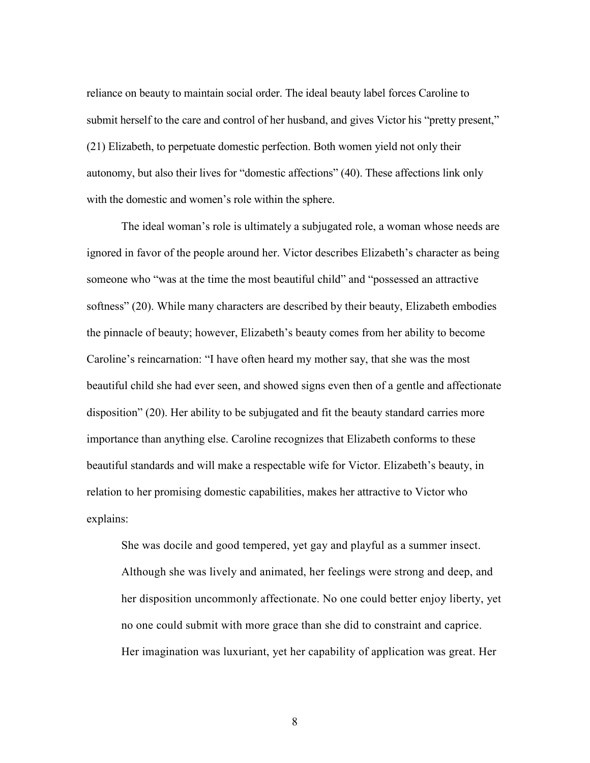reliance on beauty to maintain social order. The ideal beauty label forces Caroline to submit herself to the care and control of her husband, and gives Victor his "pretty present," (21) Elizabeth, to perpetuate domestic perfection. Both women yield not only their autonomy, but also their lives for "domestic affections" (40). These affections link only with the domestic and women's role within the sphere.

The ideal woman's role is ultimately a subjugated role, a woman whose needs are ignored in favor of the people around her. Victor describes Elizabeth's character as being someone who "was at the time the most beautiful child" and "possessed an attractive softness" (20). While many characters are described by their beauty, Elizabeth embodies the pinnacle of beauty; however, Elizabeth's beauty comes from her ability to become Caroline's reincarnation: "I have often heard my mother say, that she was the most beautiful child she had ever seen, and showed signs even then of a gentle and affectionate disposition" (20). Her ability to be subjugated and fit the beauty standard carries more importance than anything else. Caroline recognizes that Elizabeth conforms to these beautiful standards and will make a respectable wife for Victor. Elizabeth's beauty, in relation to her promising domestic capabilities, makes her attractive to Victor who explains:

She was docile and good tempered, yet gay and playful as a summer insect. Although she was lively and animated, her feelings were strong and deep, and her disposition uncommonly affectionate. No one could better enjoy liberty, yet no one could submit with more grace than she did to constraint and caprice. Her imagination was luxuriant, yet her capability of application was great. Her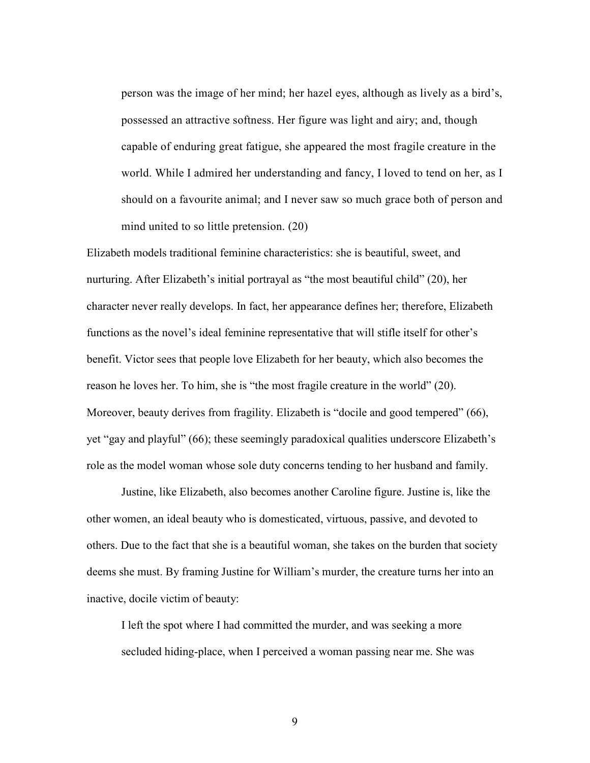person was the image of her mind; her hazel eyes, although as lively as a bird's, possessed an attractive softness. Her figure was light and airy; and, though capable of enduring great fatigue, she appeared the most fragile creature in the world. While I admired her understanding and fancy, I loved to tend on her, as I should on a favourite animal; and I never saw so much grace both of person and mind united to so little pretension. (20)

Elizabeth models traditional feminine characteristics: she is beautiful, sweet, and nurturing. After Elizabeth's initial portrayal as "the most beautiful child" (20), her character never really develops. In fact, her appearance defines her; therefore, Elizabeth functions as the novel's ideal feminine representative that will stifle itself for other's benefit. Victor sees that people love Elizabeth for her beauty, which also becomes the reason he loves her. To him, she is "the most fragile creature in the world" (20). Moreover, beauty derives from fragility. Elizabeth is "docile and good tempered" (66), yet "gay and playful" (66); these seemingly paradoxical qualities underscore Elizabeth's role as the model woman whose sole duty concerns tending to her husband and family.

Justine, like Elizabeth, also becomes another Caroline figure. Justine is, like the other women, an ideal beauty who is domesticated, virtuous, passive, and devoted to others. Due to the fact that she is a beautiful woman, she takes on the burden that society deems she must. By framing Justine for William's murder, the creature turns her into an inactive, docile victim of beauty:

I left the spot where I had committed the murder, and was seeking a more secluded hiding-place, when I perceived a woman passing near me. She was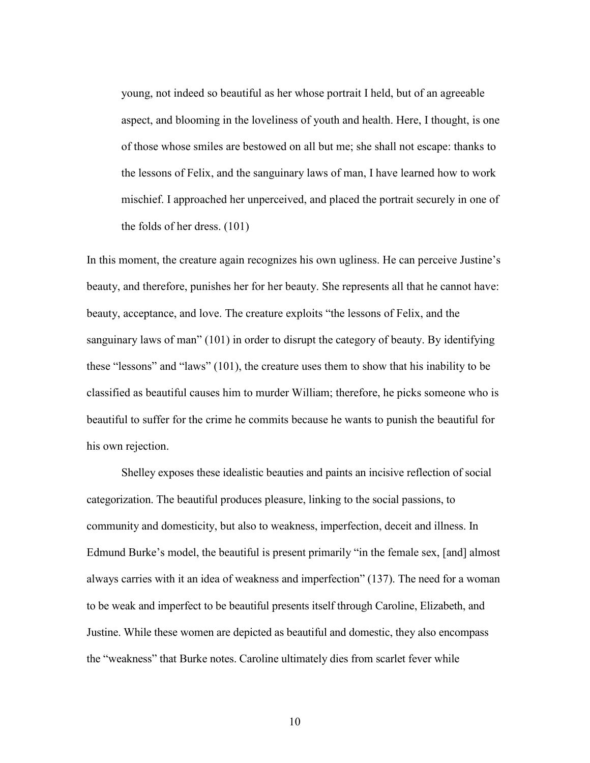young, not indeed so beautiful as her whose portrait I held, but of an agreeable aspect, and blooming in the loveliness of youth and health. Here, I thought, is one of those whose smiles are bestowed on all but me; she shall not escape: thanks to the lessons of Felix, and the sanguinary laws of man, I have learned how to work mischief. I approached her unperceived, and placed the portrait securely in one of the folds of her dress. (101)

In this moment, the creature again recognizes his own ugliness. He can perceive Justine's beauty, and therefore, punishes her for her beauty. She represents all that he cannot have: beauty, acceptance, and love. The creature exploits "the lessons of Felix, and the sanguinary laws of man" (101) in order to disrupt the category of beauty. By identifying these "lessons" and "laws" (101), the creature uses them to show that his inability to be classified as beautiful causes him to murder William; therefore, he picks someone who is beautiful to suffer for the crime he commits because he wants to punish the beautiful for his own rejection.

 Shelley exposes these idealistic beauties and paints an incisive reflection of social categorization. The beautiful produces pleasure, linking to the social passions, to community and domesticity, but also to weakness, imperfection, deceit and illness. In Edmund Burke's model, the beautiful is present primarily "in the female sex, [and] almost always carries with it an idea of weakness and imperfection" (137). The need for a woman to be weak and imperfect to be beautiful presents itself through Caroline, Elizabeth, and Justine. While these women are depicted as beautiful and domestic, they also encompass the "weakness" that Burke notes. Caroline ultimately dies from scarlet fever while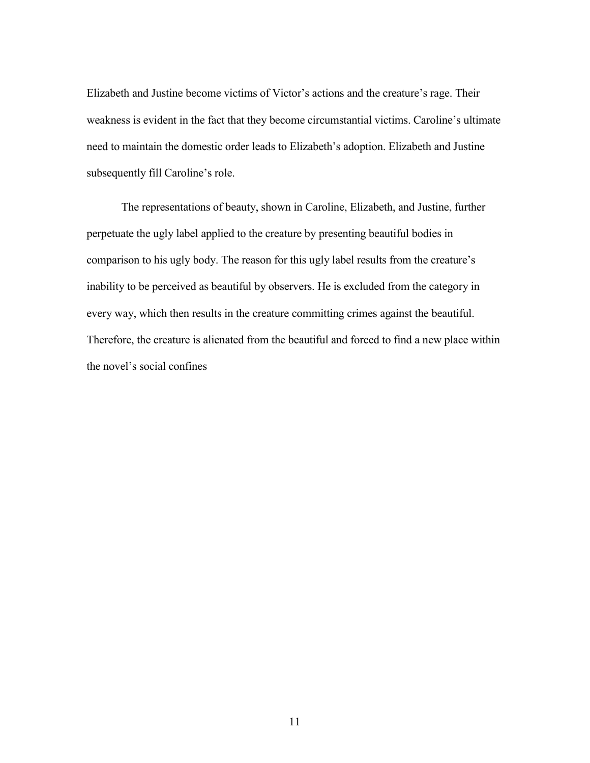Elizabeth and Justine become victims of Victor's actions and the creature's rage. Their weakness is evident in the fact that they become circumstantial victims. Caroline's ultimate need to maintain the domestic order leads to Elizabeth's adoption. Elizabeth and Justine subsequently fill Caroline's role.

 The representations of beauty, shown in Caroline, Elizabeth, and Justine, further perpetuate the ugly label applied to the creature by presenting beautiful bodies in comparison to his ugly body. The reason for this ugly label results from the creature's inability to be perceived as beautiful by observers. He is excluded from the category in every way, which then results in the creature committing crimes against the beautiful. Therefore, the creature is alienated from the beautiful and forced to find a new place within the novel's social confines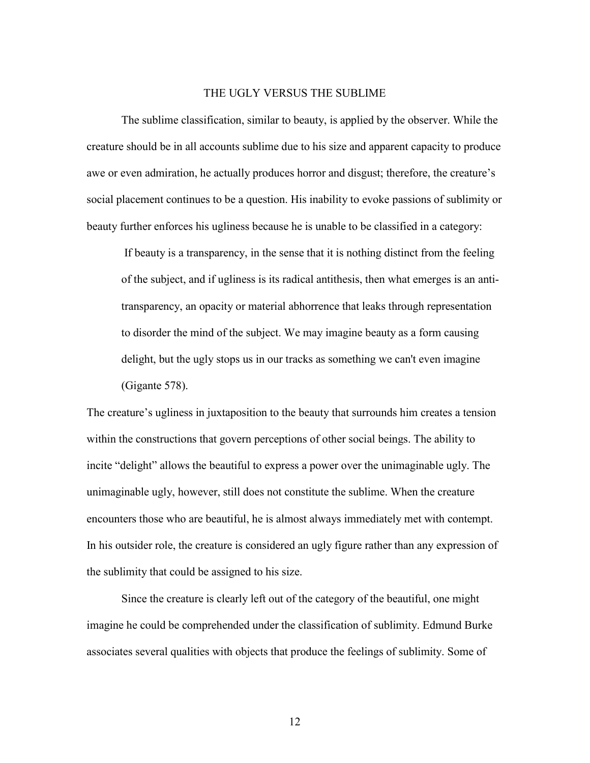### THE UGLY VERSUS THE SUBLIME

The sublime classification, similar to beauty, is applied by the observer. While the creature should be in all accounts sublime due to his size and apparent capacity to produce awe or even admiration, he actually produces horror and disgust; therefore, the creature's social placement continues to be a question. His inability to evoke passions of sublimity or beauty further enforces his ugliness because he is unable to be classified in a category:

 If beauty is a transparency, in the sense that it is nothing distinct from the feeling of the subject, and if ugliness is its radical antithesis, then what emerges is an antitransparency, an opacity or material abhorrence that leaks through representation to disorder the mind of the subject. We may imagine beauty as a form causing delight, but the ugly stops us in our tracks as something we can't even imagine (Gigante 578).

The creature's ugliness in juxtaposition to the beauty that surrounds him creates a tension within the constructions that govern perceptions of other social beings. The ability to incite "delight" allows the beautiful to express a power over the unimaginable ugly. The unimaginable ugly, however, still does not constitute the sublime. When the creature encounters those who are beautiful, he is almost always immediately met with contempt. In his outsider role, the creature is considered an ugly figure rather than any expression of the sublimity that could be assigned to his size.

Since the creature is clearly left out of the category of the beautiful, one might imagine he could be comprehended under the classification of sublimity. Edmund Burke associates several qualities with objects that produce the feelings of sublimity. Some of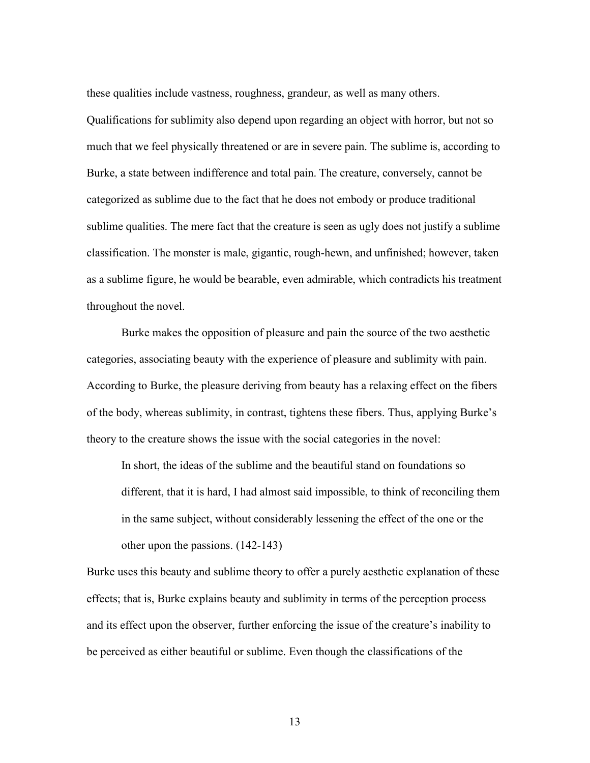these qualities include vastness, roughness, grandeur, as well as many others.

Qualifications for sublimity also depend upon regarding an object with horror, but not so much that we feel physically threatened or are in severe pain. The sublime is, according to Burke, a state between indifference and total pain. The creature, conversely, cannot be categorized as sublime due to the fact that he does not embody or produce traditional sublime qualities. The mere fact that the creature is seen as ugly does not justify a sublime classification. The monster is male, gigantic, rough-hewn, and unfinished; however, taken as a sublime figure, he would be bearable, even admirable, which contradicts his treatment throughout the novel.

Burke makes the opposition of pleasure and pain the source of the two aesthetic categories, associating beauty with the experience of pleasure and sublimity with pain. According to Burke, the pleasure deriving from beauty has a relaxing effect on the fibers of the body, whereas sublimity, in contrast, tightens these fibers. Thus, applying Burke's theory to the creature shows the issue with the social categories in the novel:

In short, the ideas of the sublime and the beautiful stand on foundations so different, that it is hard, I had almost said impossible, to think of reconciling them in the same subject, without considerably lessening the effect of the one or the other upon the passions. (142-143)

Burke uses this beauty and sublime theory to offer a purely aesthetic explanation of these effects; that is, Burke explains beauty and sublimity in terms of the perception process and its effect upon the observer, further enforcing the issue of the creature's inability to be perceived as either beautiful or sublime. Even though the classifications of the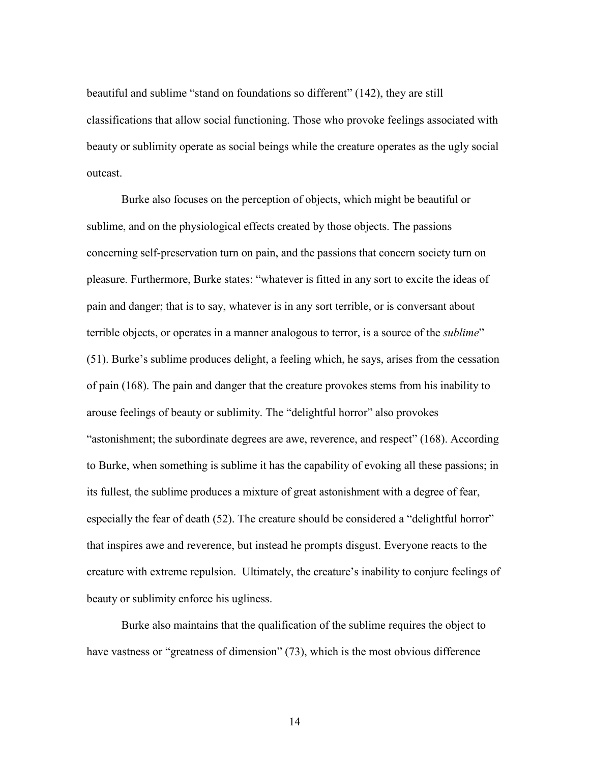beautiful and sublime "stand on foundations so different" (142), they are still classifications that allow social functioning. Those who provoke feelings associated with beauty or sublimity operate as social beings while the creature operates as the ugly social outcast.

Burke also focuses on the perception of objects, which might be beautiful or sublime, and on the physiological effects created by those objects. The passions concerning self-preservation turn on pain, and the passions that concern society turn on pleasure. Furthermore, Burke states: "whatever is fitted in any sort to excite the ideas of pain and danger; that is to say, whatever is in any sort terrible, or is conversant about terrible objects, or operates in a manner analogous to terror, is a source of the *sublime*" (51). Burke's sublime produces delight, a feeling which, he says, arises from the cessation of pain (168). The pain and danger that the creature provokes stems from his inability to arouse feelings of beauty or sublimity. The "delightful horror" also provokes "astonishment; the subordinate degrees are awe, reverence, and respect" (168). According to Burke, when something is sublime it has the capability of evoking all these passions; in its fullest, the sublime produces a mixture of great astonishment with a degree of fear, especially the fear of death (52). The creature should be considered a "delightful horror" that inspires awe and reverence, but instead he prompts disgust. Everyone reacts to the creature with extreme repulsion. Ultimately, the creature's inability to conjure feelings of beauty or sublimity enforce his ugliness.

Burke also maintains that the qualification of the sublime requires the object to have vastness or "greatness of dimension" (73), which is the most obvious difference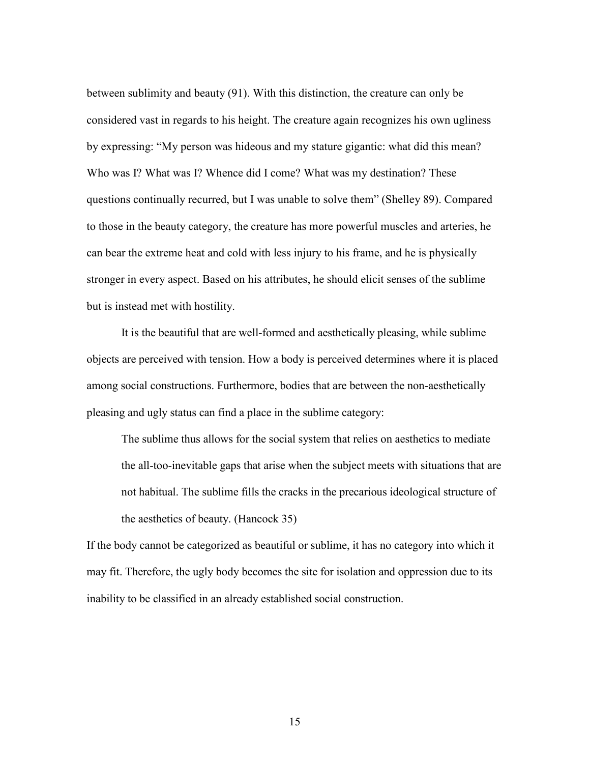between sublimity and beauty (91). With this distinction, the creature can only be considered vast in regards to his height. The creature again recognizes his own ugliness by expressing: "My person was hideous and my stature gigantic: what did this mean? Who was I? What was I? Whence did I come? What was my destination? These questions continually recurred, but I was unable to solve them" (Shelley 89). Compared to those in the beauty category, the creature has more powerful muscles and arteries, he can bear the extreme heat and cold with less injury to his frame, and he is physically stronger in every aspect. Based on his attributes, he should elicit senses of the sublime but is instead met with hostility.

It is the beautiful that are well-formed and aesthetically pleasing, while sublime objects are perceived with tension. How a body is perceived determines where it is placed among social constructions. Furthermore, bodies that are between the non-aesthetically pleasing and ugly status can find a place in the sublime category:

The sublime thus allows for the social system that relies on aesthetics to mediate the all-too-inevitable gaps that arise when the subject meets with situations that are not habitual. The sublime fills the cracks in the precarious ideological structure of the aesthetics of beauty. (Hancock 35)

If the body cannot be categorized as beautiful or sublime, it has no category into which it may fit. Therefore, the ugly body becomes the site for isolation and oppression due to its inability to be classified in an already established social construction.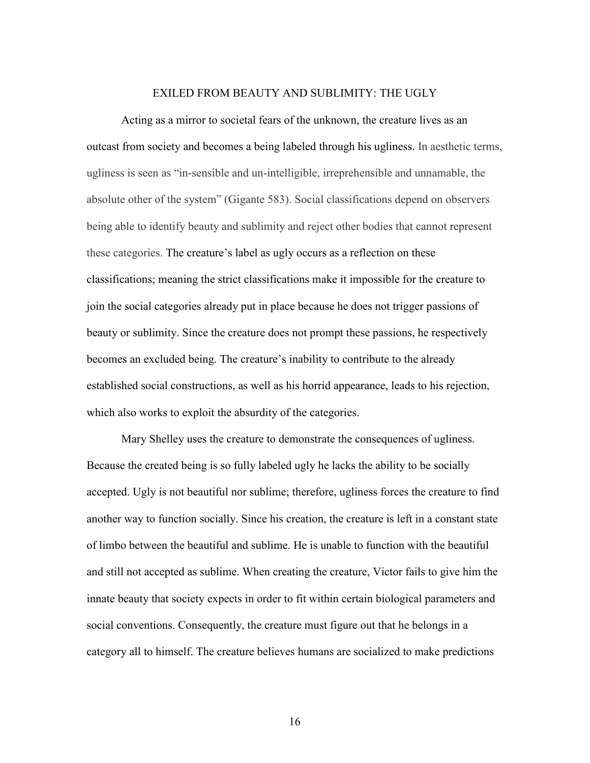### EXILED FROM BEAUTY AND SUBLIMITY: THE UGLY

Acting as a mirror to societal fears of the unknown, the creature lives as an outcast from society and becomes a being labeled through his ugliness. In aesthetic terms, ugliness is seen as "in-sensible and un-intelligible, irreprehensible and unnamable, the absolute other of the system" (Gigante 583). Social classifications depend on observers being able to identify beauty and sublimity and reject other bodies that cannot represent these categories. The creature's label as ugly occurs as a reflection on these classifications; meaning the strict classifications make it impossible for the creature to join the social categories already put in place because he does not trigger passions of beauty or sublimity. Since the creature does not prompt these passions, he respectively becomes an excluded being. The creature's inability to contribute to the already established social constructions, as well as his horrid appearance, leads to his rejection, which also works to exploit the absurdity of the categories.

Mary Shelley uses the creature to demonstrate the consequences of ugliness. Because the created being is so fully labeled ugly he lacks the ability to be socially accepted. Ugly is not beautiful nor sublime; therefore, ugliness forces the creature to find another way to function socially. Since his creation, the creature is left in a constant state of limbo between the beautiful and sublime. He is unable to function with the beautiful and still not accepted as sublime. When creating the creature, Victor fails to give him the innate beauty that society expects in order to fit within certain biological parameters and social conventions. Consequently, the creature must figure out that he belongs in a category all to himself. The creature believes humans are socialized to make predictions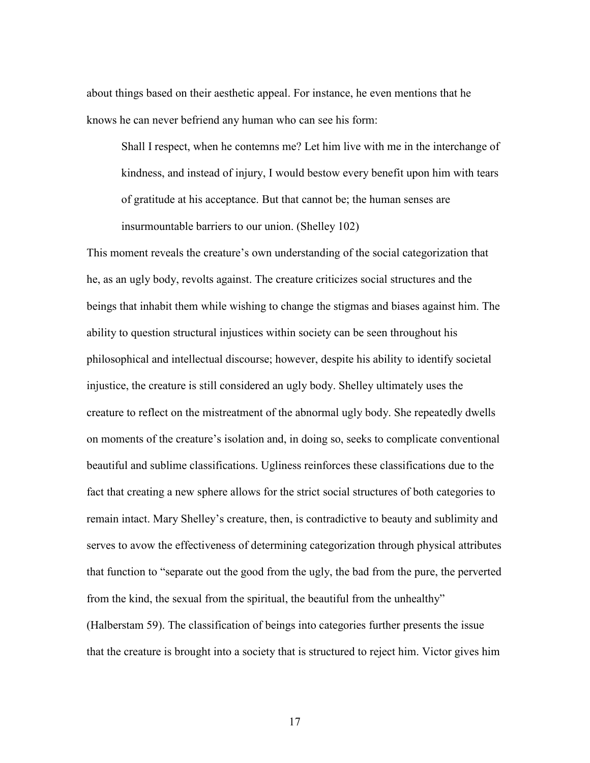about things based on their aesthetic appeal. For instance, he even mentions that he knows he can never befriend any human who can see his form:

Shall I respect, when he contemns me? Let him live with me in the interchange of kindness, and instead of injury, I would bestow every benefit upon him with tears of gratitude at his acceptance. But that cannot be; the human senses are insurmountable barriers to our union. (Shelley 102)

This moment reveals the creature's own understanding of the social categorization that he, as an ugly body, revolts against. The creature criticizes social structures and the beings that inhabit them while wishing to change the stigmas and biases against him. The ability to question structural injustices within society can be seen throughout his philosophical and intellectual discourse; however, despite his ability to identify societal injustice, the creature is still considered an ugly body. Shelley ultimately uses the creature to reflect on the mistreatment of the abnormal ugly body. She repeatedly dwells on moments of the creature's isolation and, in doing so, seeks to complicate conventional beautiful and sublime classifications. Ugliness reinforces these classifications due to the fact that creating a new sphere allows for the strict social structures of both categories to remain intact. Mary Shelley's creature, then, is contradictive to beauty and sublimity and serves to avow the effectiveness of determining categorization through physical attributes that function to "separate out the good from the ugly, the bad from the pure, the perverted from the kind, the sexual from the spiritual, the beautiful from the unhealthy" (Halberstam 59). The classification of beings into categories further presents the issue that the creature is brought into a society that is structured to reject him. Victor gives him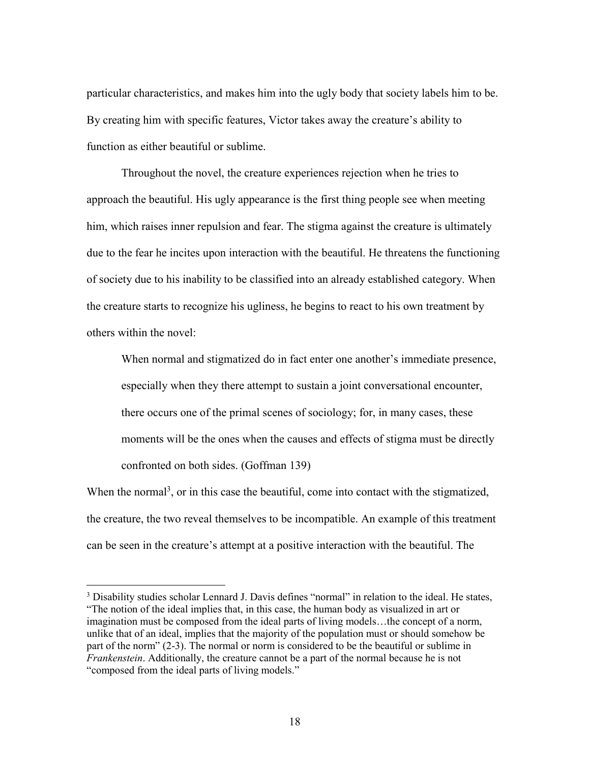particular characteristics, and makes him into the ugly body that society labels him to be. By creating him with specific features, Victor takes away the creature's ability to function as either beautiful or sublime.

Throughout the novel, the creature experiences rejection when he tries to approach the beautiful. His ugly appearance is the first thing people see when meeting him, which raises inner repulsion and fear. The stigma against the creature is ultimately due to the fear he incites upon interaction with the beautiful. He threatens the functioning of society due to his inability to be classified into an already established category. When the creature starts to recognize his ugliness, he begins to react to his own treatment by others within the novel:

When normal and stigmatized do in fact enter one another's immediate presence, especially when they there attempt to sustain a joint conversational encounter, there occurs one of the primal scenes of sociology; for, in many cases, these moments will be the ones when the causes and effects of stigma must be directly confronted on both sides. (Goffman 139)

When the normal<sup>3</sup>, or in this case the beautiful, come into contact with the stigmatized, the creature, the two reveal themselves to be incompatible. An example of this treatment can be seen in the creature's attempt at a positive interaction with the beautiful. The

 $\overline{a}$ 

<sup>&</sup>lt;sup>3</sup> Disability studies scholar Lennard J. Davis defines "normal" in relation to the ideal. He states, "The notion of the ideal implies that, in this case, the human body as visualized in art or imagination must be composed from the ideal parts of living models…the concept of a norm, unlike that of an ideal, implies that the majority of the population must or should somehow be part of the norm" (2-3). The normal or norm is considered to be the beautiful or sublime in *Frankenstein*. Additionally, the creature cannot be a part of the normal because he is not "composed from the ideal parts of living models."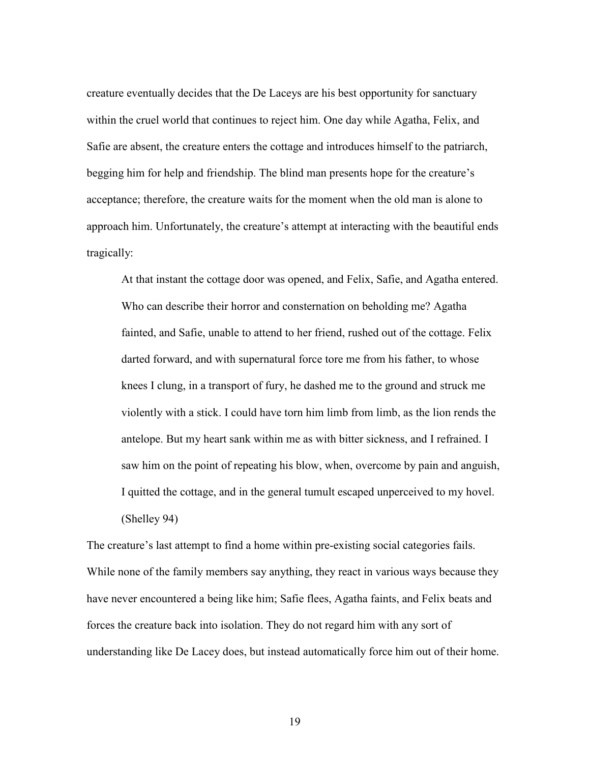creature eventually decides that the De Laceys are his best opportunity for sanctuary within the cruel world that continues to reject him. One day while Agatha, Felix, and Safie are absent, the creature enters the cottage and introduces himself to the patriarch, begging him for help and friendship. The blind man presents hope for the creature's acceptance; therefore, the creature waits for the moment when the old man is alone to approach him. Unfortunately, the creature's attempt at interacting with the beautiful ends tragically:

At that instant the cottage door was opened, and Felix, Safie, and Agatha entered. Who can describe their horror and consternation on beholding me? Agatha fainted, and Safie, unable to attend to her friend, rushed out of the cottage. Felix darted forward, and with supernatural force tore me from his father, to whose knees I clung, in a transport of fury, he dashed me to the ground and struck me violently with a stick. I could have torn him limb from limb, as the lion rends the antelope. But my heart sank within me as with bitter sickness, and I refrained. I saw him on the point of repeating his blow, when, overcome by pain and anguish, I quitted the cottage, and in the general tumult escaped unperceived to my hovel. (Shelley 94)

The creature's last attempt to find a home within pre-existing social categories fails. While none of the family members say anything, they react in various ways because they have never encountered a being like him; Safie flees, Agatha faints, and Felix beats and forces the creature back into isolation. They do not regard him with any sort of understanding like De Lacey does, but instead automatically force him out of their home.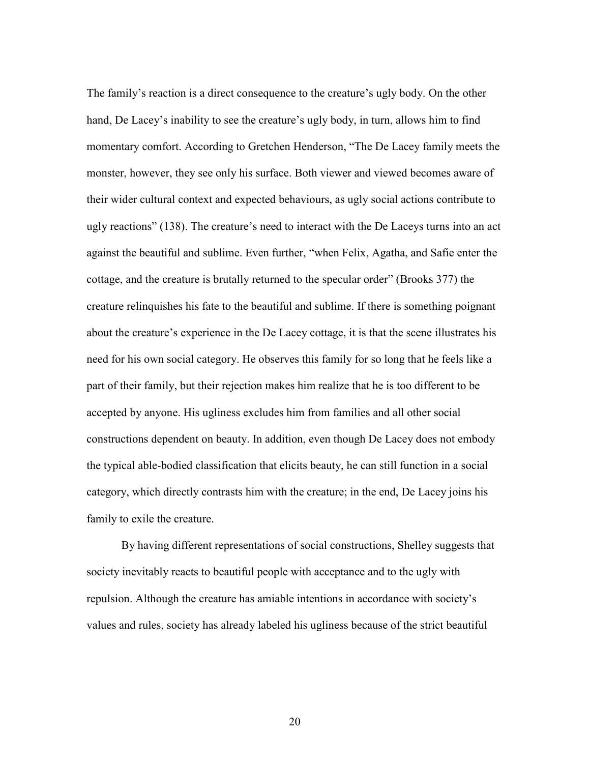The family's reaction is a direct consequence to the creature's ugly body. On the other hand, De Lacey's inability to see the creature's ugly body, in turn, allows him to find momentary comfort. According to Gretchen Henderson, "The De Lacey family meets the monster, however, they see only his surface. Both viewer and viewed becomes aware of their wider cultural context and expected behaviours, as ugly social actions contribute to ugly reactions" (138). The creature's need to interact with the De Laceys turns into an act against the beautiful and sublime. Even further, "when Felix, Agatha, and Safie enter the cottage, and the creature is brutally returned to the specular order" (Brooks 377) the creature relinquishes his fate to the beautiful and sublime. If there is something poignant about the creature's experience in the De Lacey cottage, it is that the scene illustrates his need for his own social category. He observes this family for so long that he feels like a part of their family, but their rejection makes him realize that he is too different to be accepted by anyone. His ugliness excludes him from families and all other social constructions dependent on beauty. In addition, even though De Lacey does not embody the typical able-bodied classification that elicits beauty, he can still function in a social category, which directly contrasts him with the creature; in the end, De Lacey joins his family to exile the creature.

By having different representations of social constructions, Shelley suggests that society inevitably reacts to beautiful people with acceptance and to the ugly with repulsion. Although the creature has amiable intentions in accordance with society's values and rules, society has already labeled his ugliness because of the strict beautiful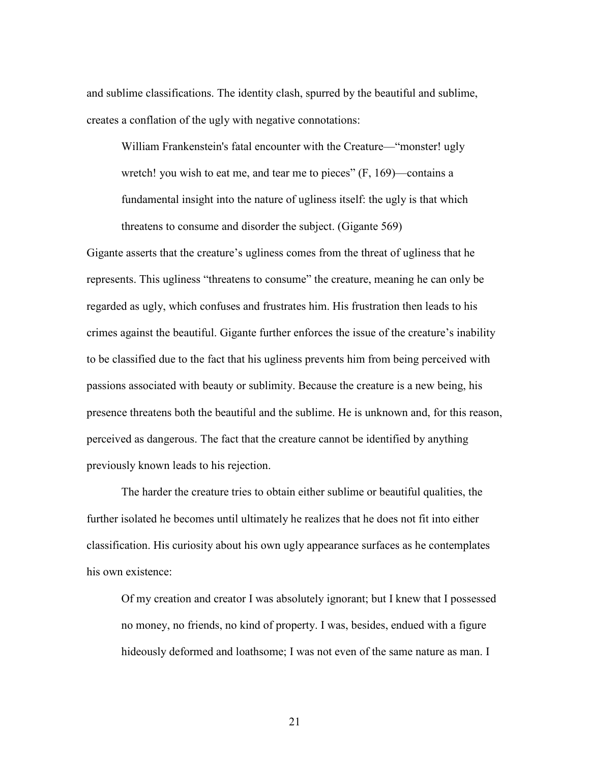and sublime classifications. The identity clash, spurred by the beautiful and sublime, creates a conflation of the ugly with negative connotations:

William Frankenstein's fatal encounter with the Creature—"monster! ugly wretch! you wish to eat me, and tear me to pieces"  $(F, 169)$ —contains a fundamental insight into the nature of ugliness itself: the ugly is that which threatens to consume and disorder the subject. (Gigante 569)

Gigante asserts that the creature's ugliness comes from the threat of ugliness that he represents. This ugliness "threatens to consume" the creature, meaning he can only be regarded as ugly, which confuses and frustrates him. His frustration then leads to his crimes against the beautiful. Gigante further enforces the issue of the creature's inability to be classified due to the fact that his ugliness prevents him from being perceived with passions associated with beauty or sublimity. Because the creature is a new being, his presence threatens both the beautiful and the sublime. He is unknown and, for this reason, perceived as dangerous. The fact that the creature cannot be identified by anything previously known leads to his rejection.

The harder the creature tries to obtain either sublime or beautiful qualities, the further isolated he becomes until ultimately he realizes that he does not fit into either classification. His curiosity about his own ugly appearance surfaces as he contemplates his own existence:

Of my creation and creator I was absolutely ignorant; but I knew that I possessed no money, no friends, no kind of property. I was, besides, endued with a figure hideously deformed and loathsome; I was not even of the same nature as man. I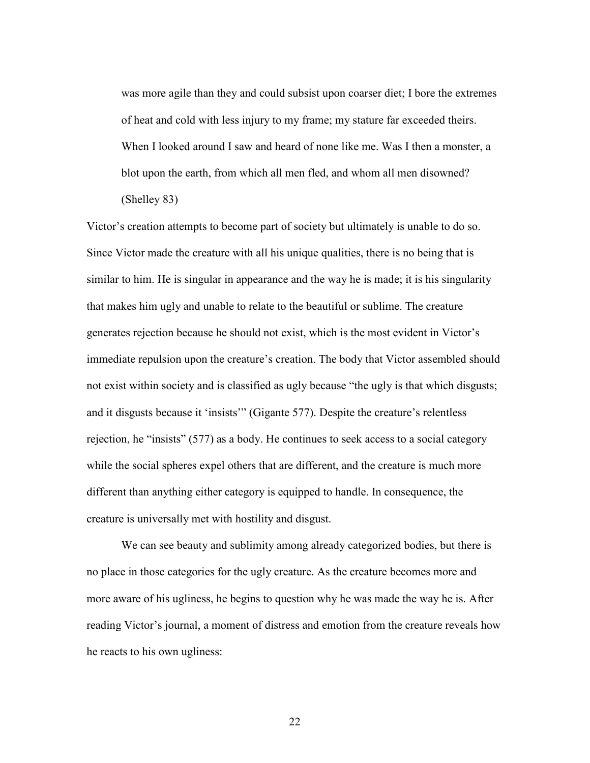was more agile than they and could subsist upon coarser diet; I bore the extremes of heat and cold with less injury to my frame; my stature far exceeded theirs. When I looked around I saw and heard of none like me. Was I then a monster, a blot upon the earth, from which all men fled, and whom all men disowned? (Shelley 83)

Victor's creation attempts to become part of society but ultimately is unable to do so. Since Victor made the creature with all his unique qualities, there is no being that is similar to him. He is singular in appearance and the way he is made; it is his singularity that makes him ugly and unable to relate to the beautiful or sublime. The creature generates rejection because he should not exist, which is the most evident in Victor's immediate repulsion upon the creature's creation. The body that Victor assembled should not exist within society and is classified as ugly because "the ugly is that which disgusts; and it disgusts because it 'insists'" (Gigante 577). Despite the creature's relentless rejection, he "insists" (577) as a body. He continues to seek access to a social category while the social spheres expel others that are different, and the creature is much more different than anything either category is equipped to handle. In consequence, the creature is universally met with hostility and disgust.

We can see beauty and sublimity among already categorized bodies, but there is no place in those categories for the ugly creature. As the creature becomes more and more aware of his ugliness, he begins to question why he was made the way he is. After reading Victor's journal, a moment of distress and emotion from the creature reveals how he reacts to his own ugliness: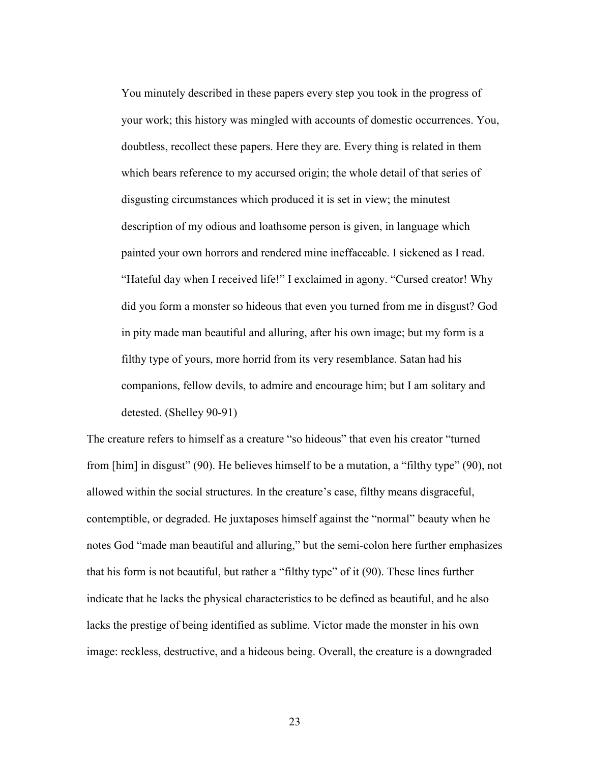You minutely described in these papers every step you took in the progress of your work; this history was mingled with accounts of domestic occurrences. You, doubtless, recollect these papers. Here they are. Every thing is related in them which bears reference to my accursed origin; the whole detail of that series of disgusting circumstances which produced it is set in view; the minutest description of my odious and loathsome person is given, in language which painted your own horrors and rendered mine ineffaceable. I sickened as I read. "Hateful day when I received life!" I exclaimed in agony. "Cursed creator! Why did you form a monster so hideous that even you turned from me in disgust? God in pity made man beautiful and alluring, after his own image; but my form is a filthy type of yours, more horrid from its very resemblance. Satan had his companions, fellow devils, to admire and encourage him; but I am solitary and detested. (Shelley 90-91)

The creature refers to himself as a creature "so hideous" that even his creator "turned from [him] in disgust" (90). He believes himself to be a mutation, a "filthy type" (90), not allowed within the social structures. In the creature's case, filthy means disgraceful, contemptible, or degraded. He juxtaposes himself against the "normal" beauty when he notes God "made man beautiful and alluring," but the semi-colon here further emphasizes that his form is not beautiful, but rather a "filthy type" of it (90). These lines further indicate that he lacks the physical characteristics to be defined as beautiful, and he also lacks the prestige of being identified as sublime. Victor made the monster in his own image: reckless, destructive, and a hideous being. Overall, the creature is a downgraded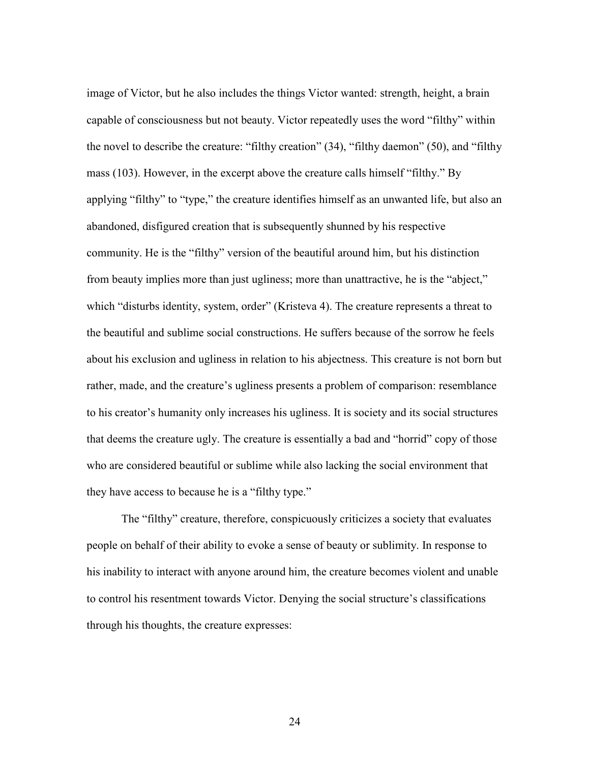image of Victor, but he also includes the things Victor wanted: strength, height, a brain capable of consciousness but not beauty. Victor repeatedly uses the word "filthy" within the novel to describe the creature: "filthy creation" (34), "filthy daemon" (50), and "filthy mass (103). However, in the excerpt above the creature calls himself "filthy." By applying "filthy" to "type," the creature identifies himself as an unwanted life, but also an abandoned, disfigured creation that is subsequently shunned by his respective community. He is the "filthy" version of the beautiful around him, but his distinction from beauty implies more than just ugliness; more than unattractive, he is the "abject," which "disturbs identity, system, order" (Kristeva 4). The creature represents a threat to the beautiful and sublime social constructions. He suffers because of the sorrow he feels about his exclusion and ugliness in relation to his abjectness. This creature is not born but rather, made, and the creature's ugliness presents a problem of comparison: resemblance to his creator's humanity only increases his ugliness. It is society and its social structures that deems the creature ugly. The creature is essentially a bad and "horrid" copy of those who are considered beautiful or sublime while also lacking the social environment that they have access to because he is a "filthy type."

The "filthy" creature, therefore, conspicuously criticizes a society that evaluates people on behalf of their ability to evoke a sense of beauty or sublimity. In response to his inability to interact with anyone around him, the creature becomes violent and unable to control his resentment towards Victor. Denying the social structure's classifications through his thoughts, the creature expresses: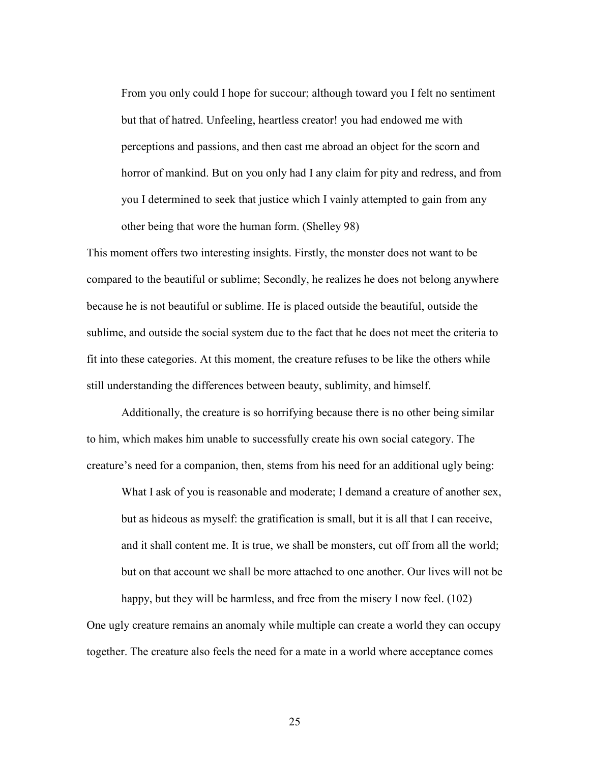From you only could I hope for succour; although toward you I felt no sentiment but that of hatred. Unfeeling, heartless creator! you had endowed me with perceptions and passions, and then cast me abroad an object for the scorn and horror of mankind. But on you only had I any claim for pity and redress, and from you I determined to seek that justice which I vainly attempted to gain from any other being that wore the human form. (Shelley 98)

This moment offers two interesting insights. Firstly, the monster does not want to be compared to the beautiful or sublime; Secondly, he realizes he does not belong anywhere because he is not beautiful or sublime. He is placed outside the beautiful, outside the sublime, and outside the social system due to the fact that he does not meet the criteria to fit into these categories. At this moment, the creature refuses to be like the others while still understanding the differences between beauty, sublimity, and himself.

Additionally, the creature is so horrifying because there is no other being similar to him, which makes him unable to successfully create his own social category. The creature's need for a companion, then, stems from his need for an additional ugly being:

What I ask of you is reasonable and moderate; I demand a creature of another sex, but as hideous as myself: the gratification is small, but it is all that I can receive, and it shall content me. It is true, we shall be monsters, cut off from all the world; but on that account we shall be more attached to one another. Our lives will not be

happy, but they will be harmless, and free from the misery I now feel. (102) One ugly creature remains an anomaly while multiple can create a world they can occupy together. The creature also feels the need for a mate in a world where acceptance comes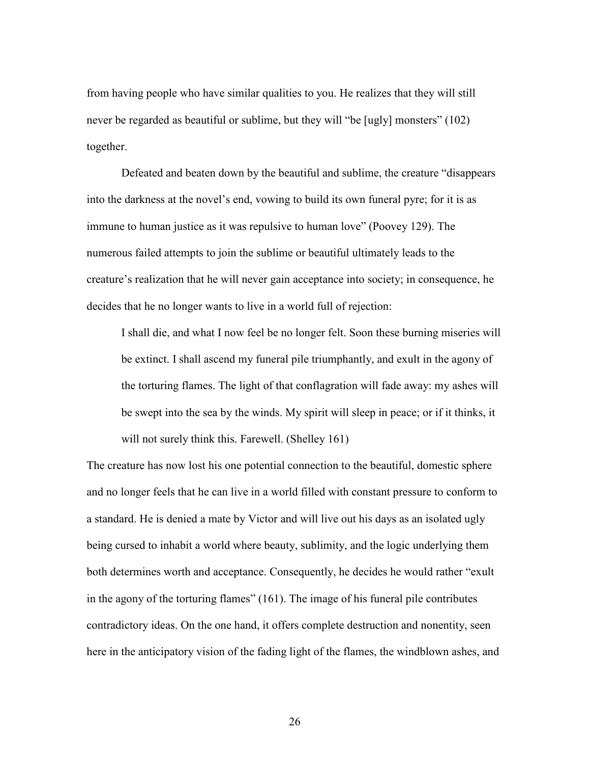from having people who have similar qualities to you. He realizes that they will still never be regarded as beautiful or sublime, but they will "be [ugly] monsters" (102) together.

Defeated and beaten down by the beautiful and sublime, the creature "disappears into the darkness at the novel's end, vowing to build its own funeral pyre; for it is as immune to human justice as it was repulsive to human love" (Poovey 129). The numerous failed attempts to join the sublime or beautiful ultimately leads to the creature's realization that he will never gain acceptance into society; in consequence, he decides that he no longer wants to live in a world full of rejection:

I shall die, and what I now feel be no longer felt. Soon these burning miseries will be extinct. I shall ascend my funeral pile triumphantly, and exult in the agony of the torturing flames. The light of that conflagration will fade away: my ashes will be swept into the sea by the winds. My spirit will sleep in peace; or if it thinks, it will not surely think this. Farewell. (Shelley 161)

The creature has now lost his one potential connection to the beautiful, domestic sphere and no longer feels that he can live in a world filled with constant pressure to conform to a standard. He is denied a mate by Victor and will live out his days as an isolated ugly being cursed to inhabit a world where beauty, sublimity, and the logic underlying them both determines worth and acceptance. Consequently, he decides he would rather "exult in the agony of the torturing flames" (161). The image of his funeral pile contributes contradictory ideas. On the one hand, it offers complete destruction and nonentity, seen here in the anticipatory vision of the fading light of the flames, the windblown ashes, and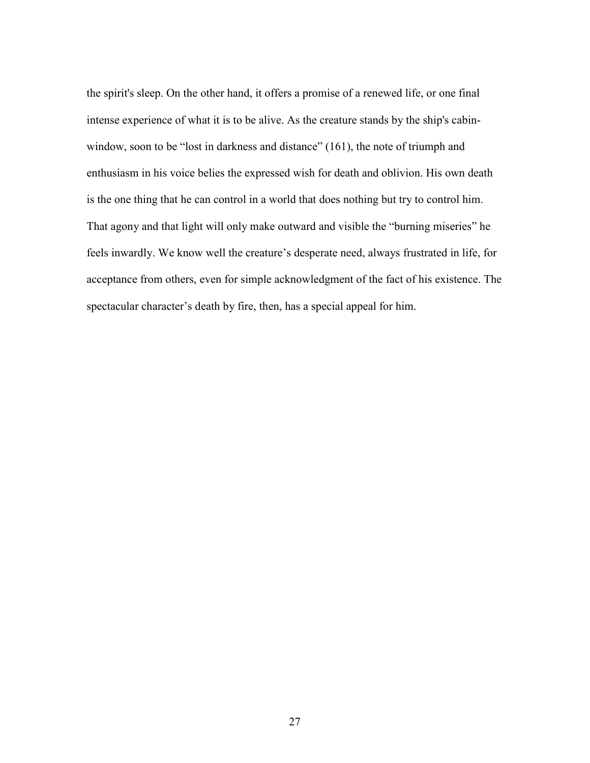the spirit's sleep. On the other hand, it offers a promise of a renewed life, or one final intense experience of what it is to be alive. As the creature stands by the ship's cabinwindow, soon to be "lost in darkness and distance" (161), the note of triumph and enthusiasm in his voice belies the expressed wish for death and oblivion. His own death is the one thing that he can control in a world that does nothing but try to control him. That agony and that light will only make outward and visible the "burning miseries" he feels inwardly. We know well the creature's desperate need, always frustrated in life, for acceptance from others, even for simple acknowledgment of the fact of his existence. The spectacular character's death by fire, then, has a special appeal for him.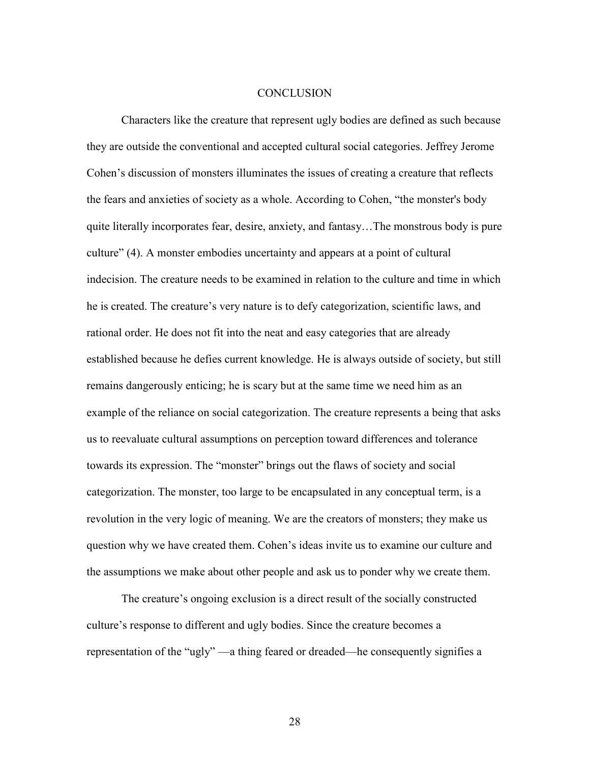### **CONCLUSION**

Characters like the creature that represent ugly bodies are defined as such because they are outside the conventional and accepted cultural social categories. Jeffrey Jerome Cohen's discussion of monsters illuminates the issues of creating a creature that reflects the fears and anxieties of society as a whole. According to Cohen, "the monster's body quite literally incorporates fear, desire, anxiety, and fantasy…The monstrous body is pure culture" (4). A monster embodies uncertainty and appears at a point of cultural indecision. The creature needs to be examined in relation to the culture and time in which he is created. The creature's very nature is to defy categorization, scientific laws, and rational order. He does not fit into the neat and easy categories that are already established because he defies current knowledge. He is always outside of society, but still remains dangerously enticing; he is scary but at the same time we need him as an example of the reliance on social categorization. The creature represents a being that asks us to reevaluate cultural assumptions on perception toward differences and tolerance towards its expression. The "monster" brings out the flaws of society and social categorization. The monster, too large to be encapsulated in any conceptual term, is a revolution in the very logic of meaning. We are the creators of monsters; they make us question why we have created them. Cohen's ideas invite us to examine our culture and the assumptions we make about other people and ask us to ponder why we create them.

The creature's ongoing exclusion is a direct result of the socially constructed culture's response to different and ugly bodies. Since the creature becomes a representation of the "ugly" —a thing feared or dreaded—he consequently signifies a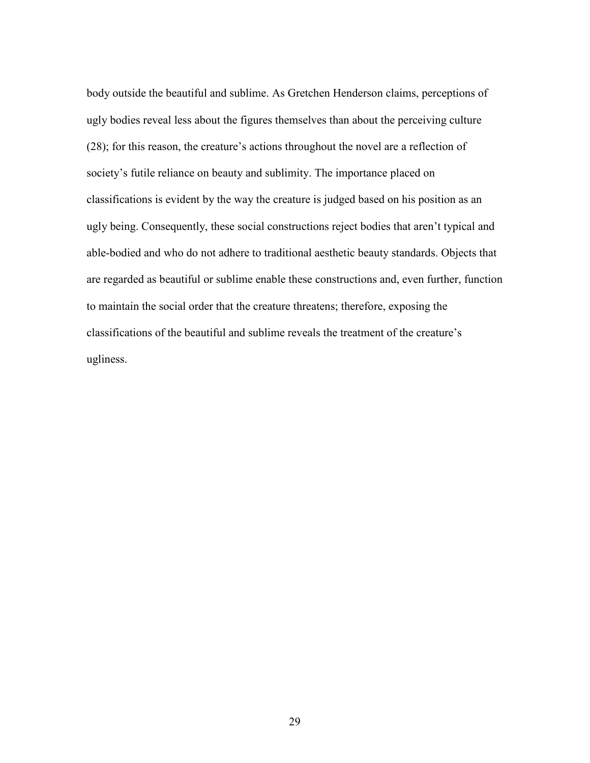body outside the beautiful and sublime. As Gretchen Henderson claims, perceptions of ugly bodies reveal less about the figures themselves than about the perceiving culture (28); for this reason, the creature's actions throughout the novel are a reflection of society's futile reliance on beauty and sublimity. The importance placed on classifications is evident by the way the creature is judged based on his position as an ugly being. Consequently, these social constructions reject bodies that aren't typical and able-bodied and who do not adhere to traditional aesthetic beauty standards. Objects that are regarded as beautiful or sublime enable these constructions and, even further, function to maintain the social order that the creature threatens; therefore, exposing the classifications of the beautiful and sublime reveals the treatment of the creature's ugliness.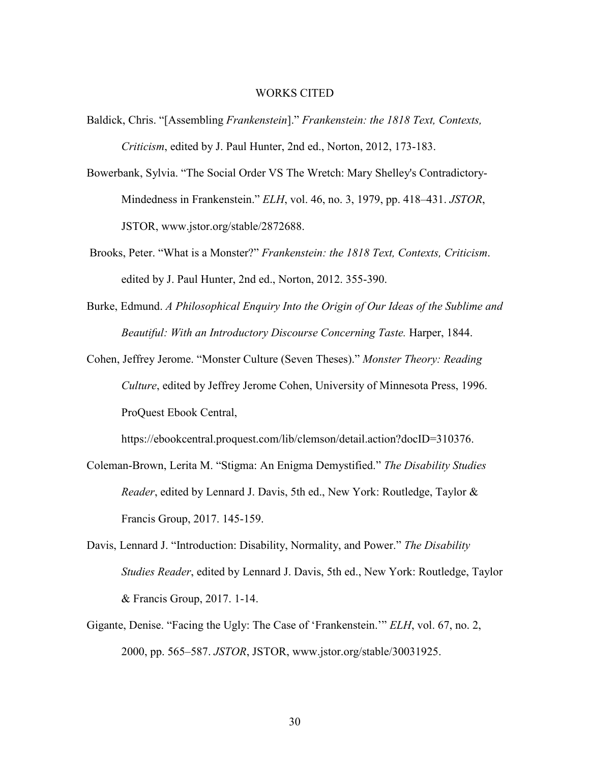### WORKS CITED

- Baldick, Chris. "[Assembling *Frankenstein*]." *Frankenstein: the 1818 Text, Contexts, Criticism*, edited by J. Paul Hunter, 2nd ed., Norton, 2012, 173-183.
- Bowerbank, Sylvia. "The Social Order VS The Wretch: Mary Shelley's Contradictory-Mindedness in Frankenstein." *ELH*, vol. 46, no. 3, 1979, pp. 418–431. *JSTOR*, JSTOR, www.jstor.org/stable/2872688.
- Brooks, Peter. "What is a Monster?" *Frankenstein: the 1818 Text, Contexts, Criticism*. edited by J. Paul Hunter, 2nd ed., Norton, 2012. 355-390.
- Burke, Edmund. *A Philosophical Enquiry Into the Origin of Our Ideas of the Sublime and Beautiful: With an Introductory Discourse Concerning Taste. Harper, 1844.*
- Cohen, Jeffrey Jerome. "Monster Culture (Seven Theses)." *Monster Theory: Reading Culture*, edited by Jeffrey Jerome Cohen, University of Minnesota Press, 1996. ProQuest Ebook Central,

https://ebookcentral.proquest.com/lib/clemson/detail.action?docID=310376.

- Coleman-Brown, Lerita M. "Stigma: An Enigma Demystified." *The Disability Studies Reader*, edited by Lennard J. Davis, 5th ed., New York: Routledge, Taylor & Francis Group, 2017. 145-159.
- Davis, Lennard J. "Introduction: Disability, Normality, and Power." *The Disability Studies Reader*, edited by Lennard J. Davis, 5th ed., New York: Routledge, Taylor & Francis Group, 2017. 1-14.
- Gigante, Denise. "Facing the Ugly: The Case of 'Frankenstein.'" *ELH*, vol. 67, no. 2, 2000, pp. 565–587. *JSTOR*, JSTOR, www.jstor.org/stable/30031925.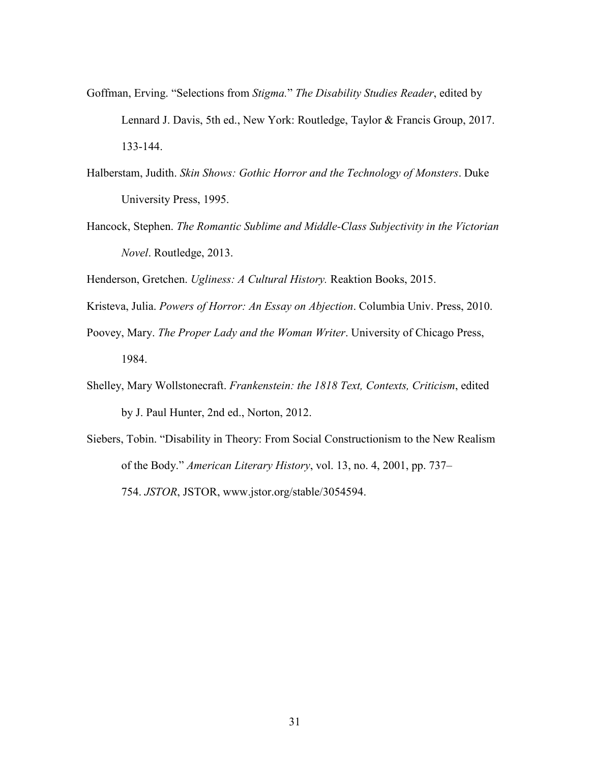- Goffman, Erving. "Selections from *Stigma.*" *The Disability Studies Reader*, edited by Lennard J. Davis, 5th ed., New York: Routledge, Taylor & Francis Group, 2017. 133-144.
- Halberstam, Judith. *Skin Shows: Gothic Horror and the Technology of Monsters*. Duke University Press, 1995.
- Hancock, Stephen. *The Romantic Sublime and Middle-Class Subjectivity in the Victorian Novel*. Routledge, 2013.

Henderson, Gretchen. *Ugliness: A Cultural History.* Reaktion Books, 2015.

Kristeva, Julia. *Powers of Horror: An Essay on Abjection*. Columbia Univ. Press, 2010.

- Poovey, Mary. *The Proper Lady and the Woman Writer*. University of Chicago Press, 1984.
- Shelley, Mary Wollstonecraft. *Frankenstein: the 1818 Text, Contexts, Criticism*, edited by J. Paul Hunter, 2nd ed., Norton, 2012.
- Siebers, Tobin. "Disability in Theory: From Social Constructionism to the New Realism of the Body." *American Literary History*, vol. 13, no. 4, 2001, pp. 737– 754. *JSTOR*, JSTOR, www.jstor.org/stable/3054594.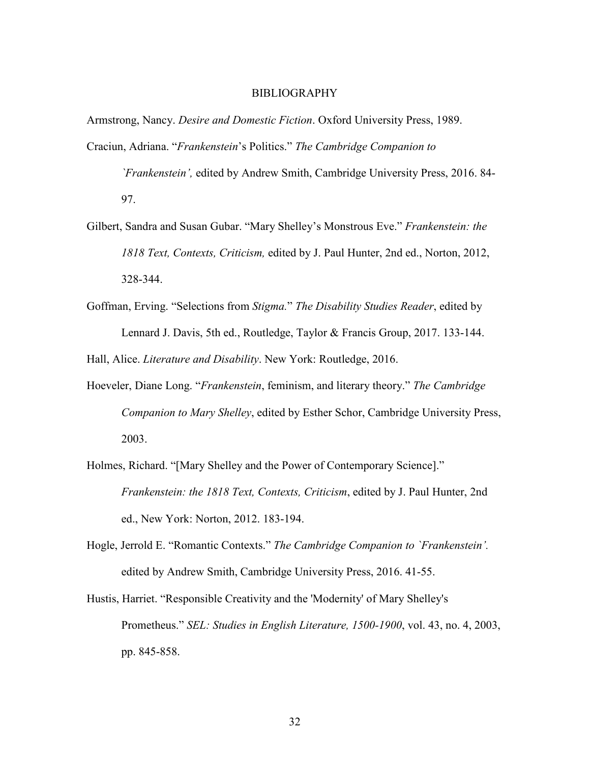### BIBLIOGRAPHY

Armstrong, Nancy. *Desire and Domestic Fiction*. Oxford University Press, 1989.

- Craciun, Adriana. "*Frankenstein*'s Politics." *The Cambridge Companion to* 
	- *`Frankenstein',* edited by Andrew Smith, Cambridge University Press, 2016. 84- 97.
- Gilbert, Sandra and Susan Gubar. "Mary Shelley's Monstrous Eve." *Frankenstein: the 1818 Text, Contexts, Criticism,* edited by J. Paul Hunter, 2nd ed., Norton, 2012, 328-344.
- Goffman, Erving. "Selections from *Stigma.*" *The Disability Studies Reader*, edited by Lennard J. Davis, 5th ed., Routledge, Taylor & Francis Group, 2017. 133-144.

Hall, Alice. *Literature and Disability*. New York: Routledge, 2016.

- Hoeveler, Diane Long. "*Frankenstein*, feminism, and literary theory." *The Cambridge Companion to Mary Shelley*, edited by Esther Schor, Cambridge University Press, 2003.
- Holmes, Richard. "[Mary Shelley and the Power of Contemporary Science]." *Frankenstein: the 1818 Text, Contexts, Criticism*, edited by J. Paul Hunter, 2nd ed., New York: Norton, 2012. 183-194.
- Hogle, Jerrold E. "Romantic Contexts." *The Cambridge Companion to `Frankenstein'.*  edited by Andrew Smith, Cambridge University Press, 2016. 41-55.
- Hustis, Harriet. "Responsible Creativity and the 'Modernity' of Mary Shelley's Prometheus." *SEL: Studies in English Literature, 1500-1900*, vol. 43, no. 4, 2003, pp. 845-858.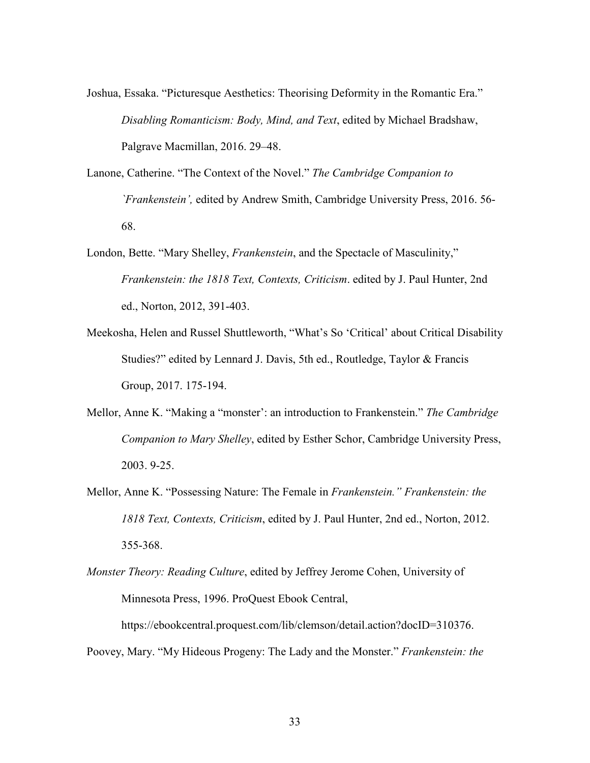Joshua, Essaka. "Picturesque Aesthetics: Theorising Deformity in the Romantic Era." *Disabling Romanticism: Body, Mind, and Text*, edited by Michael Bradshaw, Palgrave Macmillan, 2016. 29–48.

Lanone, Catherine. "The Context of the Novel." *The Cambridge Companion to `Frankenstein',* edited by Andrew Smith, Cambridge University Press, 2016. 56- 68.

- London, Bette. "Mary Shelley, *Frankenstein*, and the Spectacle of Masculinity," *Frankenstein: the 1818 Text, Contexts, Criticism*. edited by J. Paul Hunter, 2nd ed., Norton, 2012, 391-403.
- Meekosha, Helen and Russel Shuttleworth, "What's So 'Critical' about Critical Disability Studies?" edited by Lennard J. Davis, 5th ed., Routledge, Taylor & Francis Group, 2017. 175-194.
- Mellor, Anne K. "Making a "monster': an introduction to Frankenstein." *The Cambridge Companion to Mary Shelley*, edited by Esther Schor, Cambridge University Press, 2003. 9-25.
- Mellor, Anne K. "Possessing Nature: The Female in *Frankenstein." Frankenstein: the 1818 Text, Contexts, Criticism*, edited by J. Paul Hunter, 2nd ed., Norton, 2012. 355-368.
- *Monster Theory: Reading Culture*, edited by Jeffrey Jerome Cohen, University of Minnesota Press, 1996. ProQuest Ebook Central,

https://ebookcentral.proquest.com/lib/clemson/detail.action?docID=310376. Poovey, Mary. "My Hideous Progeny: The Lady and the Monster." *Frankenstein: the*